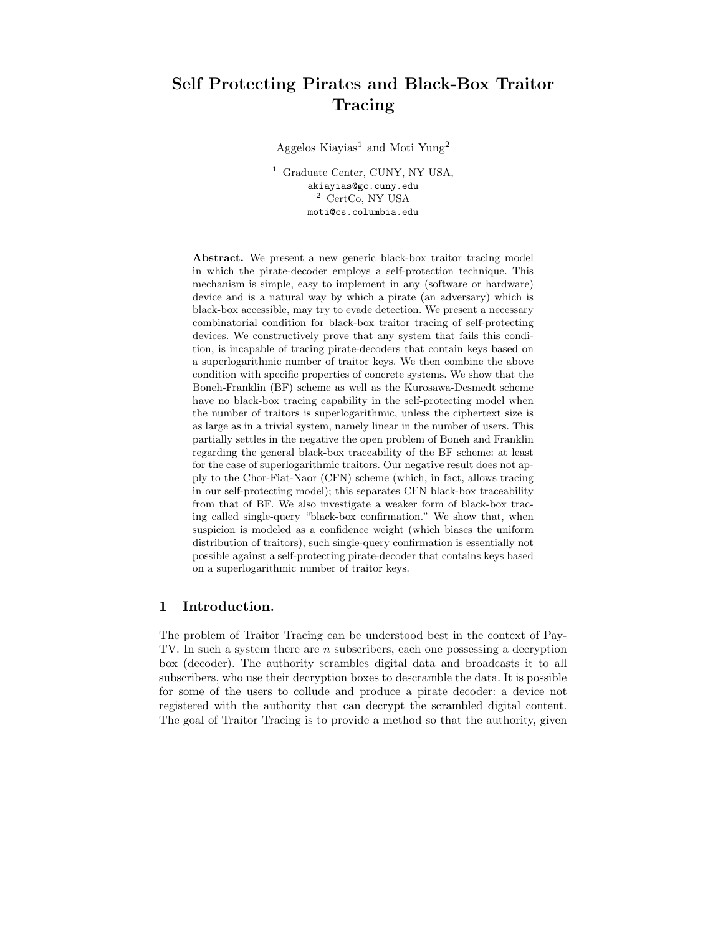# Self Protecting Pirates and Black-Box Traitor Tracing

Aggelos Kiayias<sup>1</sup> and Moti Yung<sup>2</sup>

<sup>1</sup> Graduate Center, CUNY, NY USA, akiayias@gc.cuny.edu <sup>2</sup> CertCo, NY USA moti@cs.columbia.edu

Abstract. We present a new generic black-box traitor tracing model in which the pirate-decoder employs a self-protection technique. This mechanism is simple, easy to implement in any (software or hardware) device and is a natural way by which a pirate (an adversary) which is black-box accessible, may try to evade detection. We present a necessary combinatorial condition for black-box traitor tracing of self-protecting devices. We constructively prove that any system that fails this condition, is incapable of tracing pirate-decoders that contain keys based on a superlogarithmic number of traitor keys. We then combine the above condition with specific properties of concrete systems. We show that the Boneh-Franklin (BF) scheme as well as the Kurosawa-Desmedt scheme have no black-box tracing capability in the self-protecting model when the number of traitors is superlogarithmic, unless the ciphertext size is as large as in a trivial system, namely linear in the number of users. This partially settles in the negative the open problem of Boneh and Franklin regarding the general black-box traceability of the BF scheme: at least for the case of superlogarithmic traitors. Our negative result does not apply to the Chor-Fiat-Naor (CFN) scheme (which, in fact, allows tracing in our self-protecting model); this separates CFN black-box traceability from that of BF. We also investigate a weaker form of black-box tracing called single-query "black-box confirmation." We show that, when suspicion is modeled as a confidence weight (which biases the uniform distribution of traitors), such single-query confirmation is essentially not possible against a self-protecting pirate-decoder that contains keys based on a superlogarithmic number of traitor keys.

# 1 Introduction.

The problem of Traitor Tracing can be understood best in the context of Pay-TV. In such a system there are n subscribers, each one possessing a decryption box (decoder). The authority scrambles digital data and broadcasts it to all subscribers, who use their decryption boxes to descramble the data. It is possible for some of the users to collude and produce a pirate decoder: a device not registered with the authority that can decrypt the scrambled digital content. The goal of Traitor Tracing is to provide a method so that the authority, given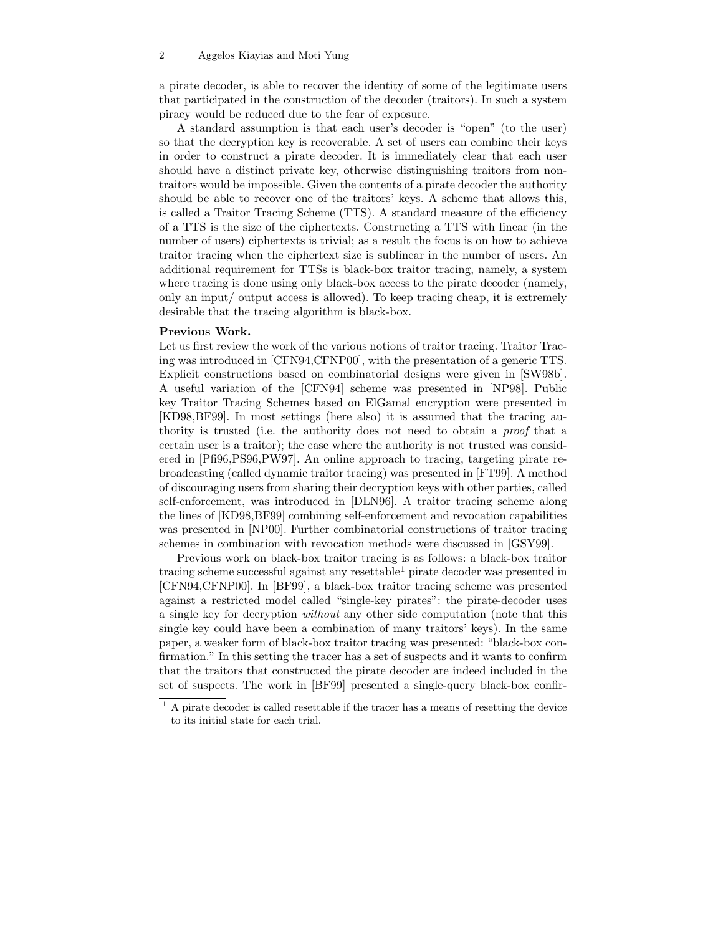a pirate decoder, is able to recover the identity of some of the legitimate users that participated in the construction of the decoder (traitors). In such a system piracy would be reduced due to the fear of exposure.

A standard assumption is that each user's decoder is "open" (to the user) so that the decryption key is recoverable. A set of users can combine their keys in order to construct a pirate decoder. It is immediately clear that each user should have a distinct private key, otherwise distinguishing traitors from nontraitors would be impossible. Given the contents of a pirate decoder the authority should be able to recover one of the traitors' keys. A scheme that allows this, is called a Traitor Tracing Scheme (TTS). A standard measure of the efficiency of a TTS is the size of the ciphertexts. Constructing a TTS with linear (in the number of users) ciphertexts is trivial; as a result the focus is on how to achieve traitor tracing when the ciphertext size is sublinear in the number of users. An additional requirement for TTSs is black-box traitor tracing, namely, a system where tracing is done using only black-box access to the pirate decoder (namely, only an input/ output access is allowed). To keep tracing cheap, it is extremely desirable that the tracing algorithm is black-box.

## Previous Work.

Let us first review the work of the various notions of traitor tracing. Traitor Tracing was introduced in [CFN94,CFNP00], with the presentation of a generic TTS. Explicit constructions based on combinatorial designs were given in [SW98b]. A useful variation of the [CFN94] scheme was presented in [NP98]. Public key Traitor Tracing Schemes based on ElGamal encryption were presented in [KD98,BF99]. In most settings (here also) it is assumed that the tracing authority is trusted (i.e. the authority does not need to obtain a proof that a certain user is a traitor); the case where the authority is not trusted was considered in [Pfi96,PS96,PW97]. An online approach to tracing, targeting pirate rebroadcasting (called dynamic traitor tracing) was presented in [FT99]. A method of discouraging users from sharing their decryption keys with other parties, called self-enforcement, was introduced in [DLN96]. A traitor tracing scheme along the lines of [KD98,BF99] combining self-enforcement and revocation capabilities was presented in [NP00]. Further combinatorial constructions of traitor tracing schemes in combination with revocation methods were discussed in [GSY99].

Previous work on black-box traitor tracing is as follows: a black-box traitor tracing scheme successful against any resettable<sup>1</sup> pirate decoder was presented in [CFN94,CFNP00]. In [BF99], a black-box traitor tracing scheme was presented against a restricted model called "single-key pirates": the pirate-decoder uses a single key for decryption without any other side computation (note that this single key could have been a combination of many traitors' keys). In the same paper, a weaker form of black-box traitor tracing was presented: "black-box confirmation." In this setting the tracer has a set of suspects and it wants to confirm that the traitors that constructed the pirate decoder are indeed included in the set of suspects. The work in [BF99] presented a single-query black-box confir-

 $1$  A pirate decoder is called resettable if the tracer has a means of resetting the device to its initial state for each trial.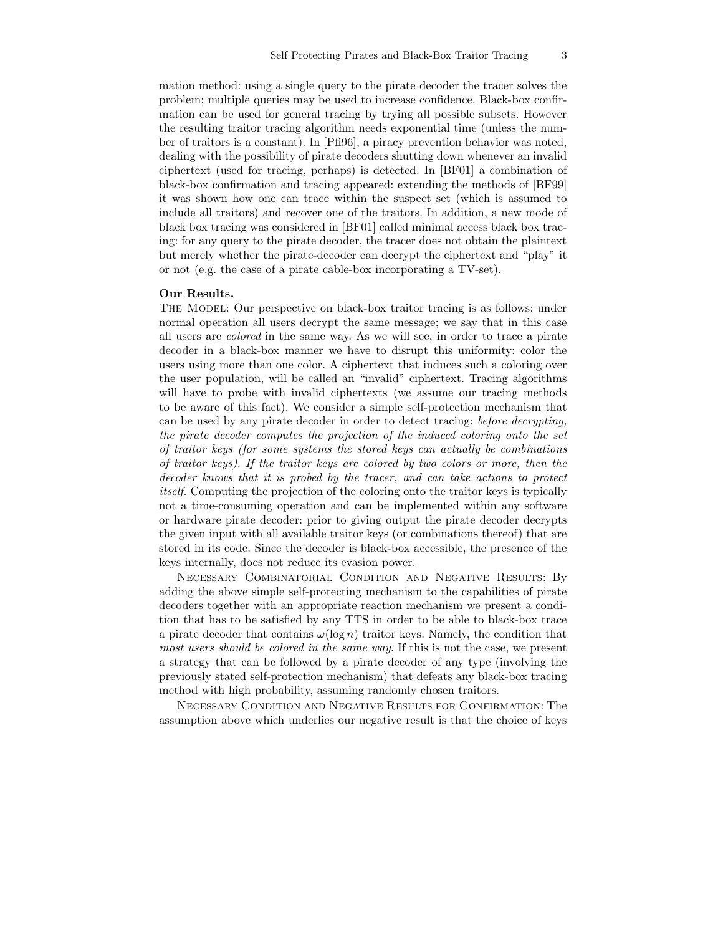mation method: using a single query to the pirate decoder the tracer solves the problem; multiple queries may be used to increase confidence. Black-box confirmation can be used for general tracing by trying all possible subsets. However the resulting traitor tracing algorithm needs exponential time (unless the number of traitors is a constant). In [Pfi96], a piracy prevention behavior was noted, dealing with the possibility of pirate decoders shutting down whenever an invalid ciphertext (used for tracing, perhaps) is detected. In [BF01] a combination of black-box confirmation and tracing appeared: extending the methods of [BF99] it was shown how one can trace within the suspect set (which is assumed to include all traitors) and recover one of the traitors. In addition, a new mode of black box tracing was considered in [BF01] called minimal access black box tracing: for any query to the pirate decoder, the tracer does not obtain the plaintext but merely whether the pirate-decoder can decrypt the ciphertext and "play" it or not (e.g. the case of a pirate cable-box incorporating a TV-set).

## Our Results.

The Model: Our perspective on black-box traitor tracing is as follows: under normal operation all users decrypt the same message; we say that in this case all users are colored in the same way. As we will see, in order to trace a pirate decoder in a black-box manner we have to disrupt this uniformity: color the users using more than one color. A ciphertext that induces such a coloring over the user population, will be called an "invalid" ciphertext. Tracing algorithms will have to probe with invalid ciphertexts (we assume our tracing methods to be aware of this fact). We consider a simple self-protection mechanism that can be used by any pirate decoder in order to detect tracing: before decrypting, the pirate decoder computes the projection of the induced coloring onto the set of traitor keys (for some systems the stored keys can actually be combinations of traitor keys). If the traitor keys are colored by two colors or more, then the decoder knows that it is probed by the tracer, and can take actions to protect itself. Computing the projection of the coloring onto the traitor keys is typically not a time-consuming operation and can be implemented within any software or hardware pirate decoder: prior to giving output the pirate decoder decrypts the given input with all available traitor keys (or combinations thereof) that are stored in its code. Since the decoder is black-box accessible, the presence of the keys internally, does not reduce its evasion power.

Necessary Combinatorial Condition and Negative Results: By adding the above simple self-protecting mechanism to the capabilities of pirate decoders together with an appropriate reaction mechanism we present a condition that has to be satisfied by any TTS in order to be able to black-box trace a pirate decoder that contains  $\omega(\log n)$  traitor keys. Namely, the condition that most users should be colored in the same way. If this is not the case, we present a strategy that can be followed by a pirate decoder of any type (involving the previously stated self-protection mechanism) that defeats any black-box tracing method with high probability, assuming randomly chosen traitors.

Necessary Condition and Negative Results for Confirmation: The assumption above which underlies our negative result is that the choice of keys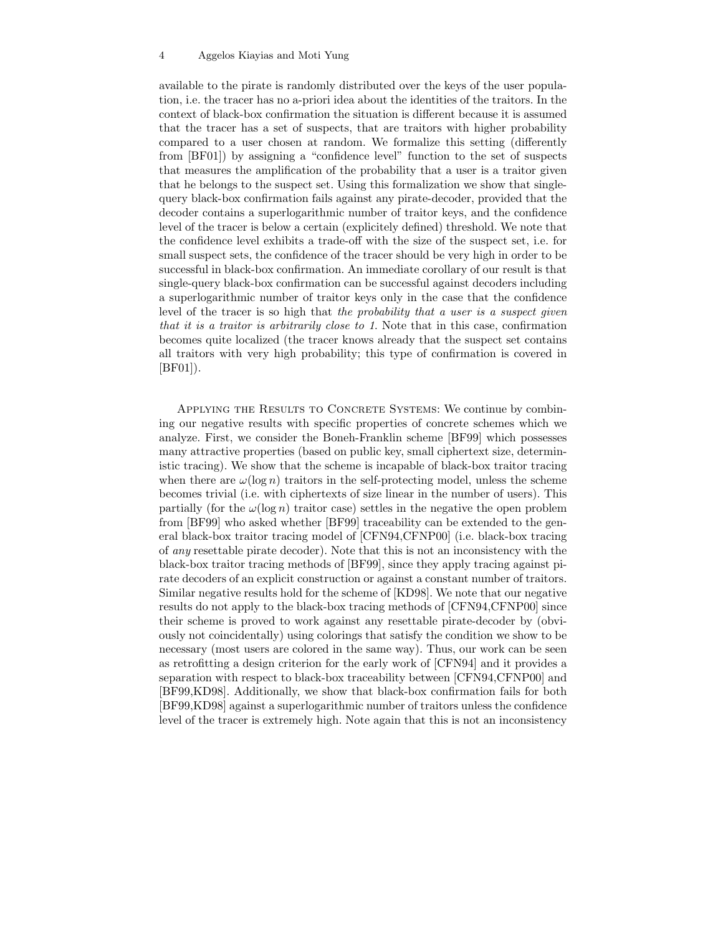available to the pirate is randomly distributed over the keys of the user population, i.e. the tracer has no a-priori idea about the identities of the traitors. In the context of black-box confirmation the situation is different because it is assumed that the tracer has a set of suspects, that are traitors with higher probability compared to a user chosen at random. We formalize this setting (differently from [BF01]) by assigning a "confidence level" function to the set of suspects that measures the amplification of the probability that a user is a traitor given that he belongs to the suspect set. Using this formalization we show that singlequery black-box confirmation fails against any pirate-decoder, provided that the decoder contains a superlogarithmic number of traitor keys, and the confidence level of the tracer is below a certain (explicitely defined) threshold. We note that the confidence level exhibits a trade-off with the size of the suspect set, i.e. for small suspect sets, the confidence of the tracer should be very high in order to be successful in black-box confirmation. An immediate corollary of our result is that single-query black-box confirmation can be successful against decoders including a superlogarithmic number of traitor keys only in the case that the confidence level of the tracer is so high that the probability that a user is a suspect given that it is a traitor is arbitrarily close to 1. Note that in this case, confirmation becomes quite localized (the tracer knows already that the suspect set contains all traitors with very high probability; this type of confirmation is covered in [BF01]).

APPLYING THE RESULTS TO CONCRETE SYSTEMS: We continue by combining our negative results with specific properties of concrete schemes which we analyze. First, we consider the Boneh-Franklin scheme [BF99] which possesses many attractive properties (based on public key, small ciphertext size, deterministic tracing). We show that the scheme is incapable of black-box traitor tracing when there are  $\omega(\log n)$  traitors in the self-protecting model, unless the scheme becomes trivial (i.e. with ciphertexts of size linear in the number of users). This partially (for the  $\omega(\log n)$ ) traitor case) settles in the negative the open problem from [BF99] who asked whether [BF99] traceability can be extended to the general black-box traitor tracing model of [CFN94,CFNP00] (i.e. black-box tracing of any resettable pirate decoder). Note that this is not an inconsistency with the black-box traitor tracing methods of [BF99], since they apply tracing against pirate decoders of an explicit construction or against a constant number of traitors. Similar negative results hold for the scheme of [KD98]. We note that our negative results do not apply to the black-box tracing methods of [CFN94,CFNP00] since their scheme is proved to work against any resettable pirate-decoder by (obviously not coincidentally) using colorings that satisfy the condition we show to be necessary (most users are colored in the same way). Thus, our work can be seen as retrofitting a design criterion for the early work of [CFN94] and it provides a separation with respect to black-box traceability between [CFN94,CFNP00] and [BF99,KD98]. Additionally, we show that black-box confirmation fails for both [BF99,KD98] against a superlogarithmic number of traitors unless the confidence level of the tracer is extremely high. Note again that this is not an inconsistency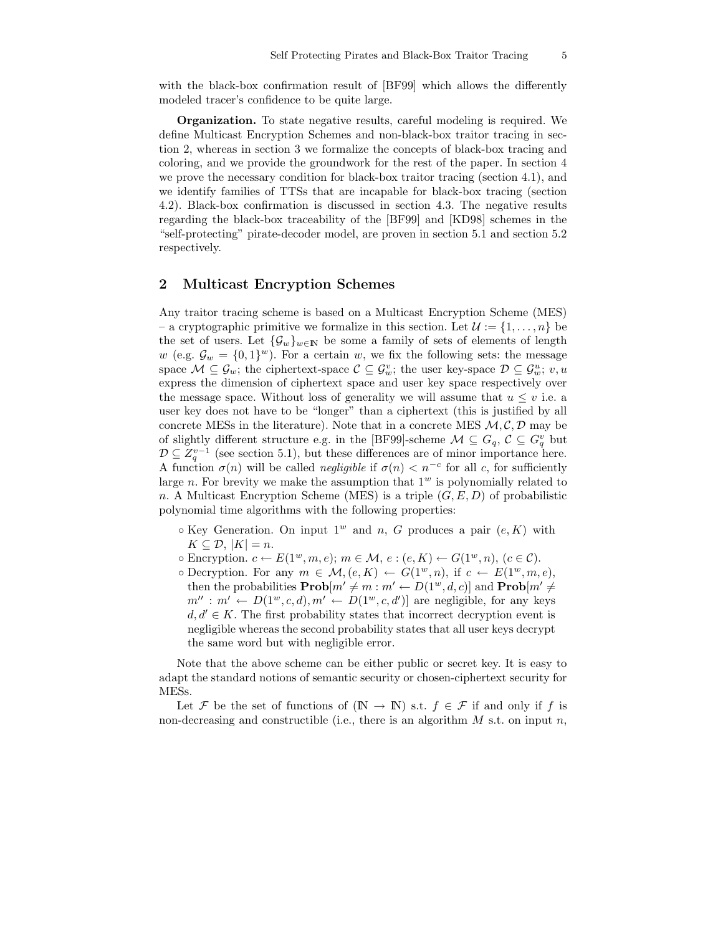with the black-box confirmation result of [BF99] which allows the differently modeled tracer's confidence to be quite large.

Organization. To state negative results, careful modeling is required. We define Multicast Encryption Schemes and non-black-box traitor tracing in section 2, whereas in section 3 we formalize the concepts of black-box tracing and coloring, and we provide the groundwork for the rest of the paper. In section 4 we prove the necessary condition for black-box traitor tracing (section 4.1), and we identify families of TTSs that are incapable for black-box tracing (section 4.2). Black-box confirmation is discussed in section 4.3. The negative results regarding the black-box traceability of the [BF99] and [KD98] schemes in the "self-protecting" pirate-decoder model, are proven in section 5.1 and section 5.2 respectively.

# 2 Multicast Encryption Schemes

Any traitor tracing scheme is based on a Multicast Encryption Scheme (MES) – a cryptographic primitive we formalize in this section. Let  $\mathcal{U} := \{1, \ldots, n\}$  be the set of users. Let  $\{\mathcal{G}_w\}_{w\in\mathbb{N}}$  be some a family of sets of elements of length w (e.g.  $\mathcal{G}_w = \{0,1\}^w$ ). For a certain w, we fix the following sets: the message space  $\mathcal{M} \subseteq \mathcal{G}_w$ ; the ciphertext-space  $\mathcal{C} \subseteq \mathcal{G}_w^v$ ; the user key-space  $\mathcal{D} \subseteq \mathcal{G}_w^u$ ;  $v, u$ express the dimension of ciphertext space and user key space respectively over the message space. Without loss of generality we will assume that  $u \leq v$  i.e. a user key does not have to be "longer" than a ciphertext (this is justified by all concrete MESs in the literature). Note that in a concrete MES  $M, C, D$  may be of slightly different structure e.g. in the [BF99]-scheme  $\mathcal{M} \subseteq G_q$ ,  $\mathcal{C} \subseteq G_q^v$  but  $\mathcal{D} \subseteq Z_q^{v-1}$  (see section 5.1), but these differences are of minor importance here. A function  $\sigma(n)$  will be called *negligible* if  $\sigma(n) < n^{-c}$  for all c, for sufficiently large n. For brevity we make the assumption that  $1<sup>w</sup>$  is polynomially related to n. A Multicast Encryption Scheme (MES) is a triple  $(G, E, D)$  of probabilistic polynomial time algorithms with the following properties:

- $\circ$  Key Generation. On input 1<sup>w</sup> and *n*, *G* produces a pair  $(e, K)$  with  $K \subset \mathcal{D}, |K| = n.$
- $\circ$  Encryption.  $c \leftarrow E(1^w, m, e); m \in \mathcal{M}, e : (e, K) \leftarrow G(1^w, n), (c \in \mathcal{C}).$
- $\circ$  Decryption. For any  $m \in \mathcal{M}, (e, K) \leftarrow G(1^w, n),$  if  $c \leftarrow E(1^w, m, e),$ then the probabilities  $\mathbf{Prob}[m' \neq m : m' \leftarrow D(1^w, d, c)]$  and  $\mathbf{Prob}[m' \neq$  $m'': m' \leftarrow D(1^w, c, d), m' \leftarrow D(1^w, c, d')$  are negligible, for any keys  $d, d' \in K$ . The first probability states that incorrect decryption event is negligible whereas the second probability states that all user keys decrypt the same word but with negligible error.

Note that the above scheme can be either public or secret key. It is easy to adapt the standard notions of semantic security or chosen-ciphertext security for MESs.

Let F be the set of functions of  $(N \to N)$  s.t.  $f \in \mathcal{F}$  if and only if f is non-decreasing and constructible (i.e., there is an algorithm  $M$  s.t. on input  $n$ ,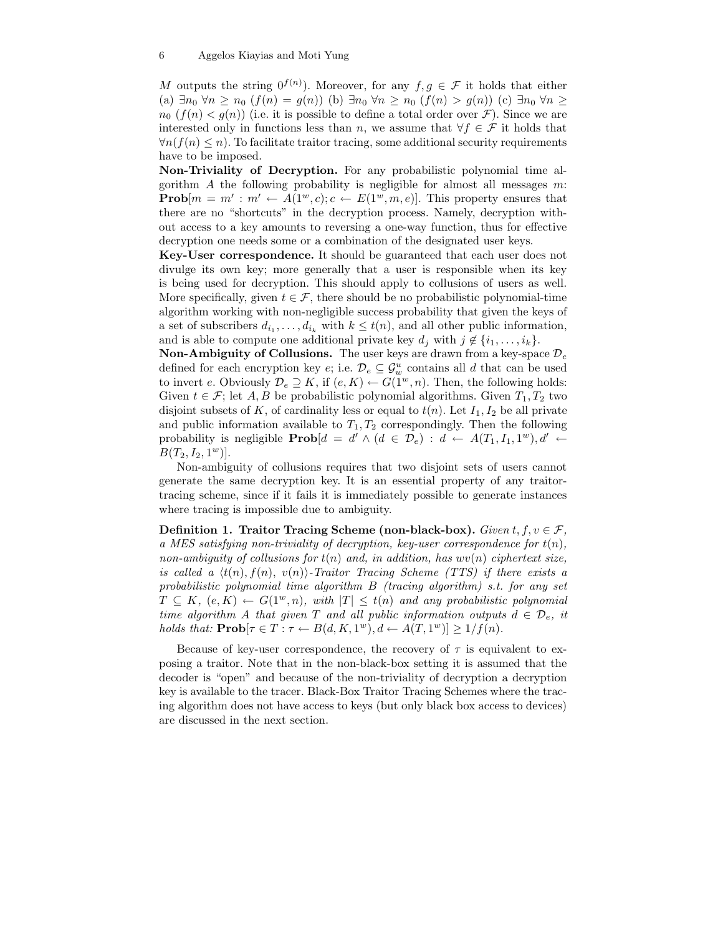M outputs the string  $0^{f(n)}$ ). Moreover, for any  $f, g \in \mathcal{F}$  it holds that either (a)  $\exists n_0 \forall n \geq n_0$   $(f(n) = g(n))$  (b)  $\exists n_0 \forall n \geq n_0$   $(f(n) > g(n))$  (c)  $\exists n_0 \forall n \geq$  $n_0$   $(f(n) < g(n))$  (i.e. it is possible to define a total order over  $\mathcal{F}$ ). Since we are interested only in functions less than n, we assume that  $\forall f \in \mathcal{F}$  it holds that  $\forall n(f(n) \leq n)$ . To facilitate traitor tracing, some additional security requirements have to be imposed.

Non-Triviality of Decryption. For any probabilistic polynomial time algorithm  $A$  the following probability is negligible for almost all messages  $m$ : **Prob** $[m = m' : m' \leftarrow A(1^w, c); c \leftarrow E(1^w, m, e)$ . This property ensures that there are no "shortcuts" in the decryption process. Namely, decryption without access to a key amounts to reversing a one-way function, thus for effective decryption one needs some or a combination of the designated user keys.

Key-User correspondence. It should be guaranteed that each user does not divulge its own key; more generally that a user is responsible when its key is being used for decryption. This should apply to collusions of users as well. More specifically, given  $t \in \mathcal{F}$ , there should be no probabilistic polynomial-time algorithm working with non-negligible success probability that given the keys of a set of subscribers  $d_{i_1}, \ldots, d_{i_k}$  with  $k \leq t(n)$ , and all other public information, and is able to compute one additional private key  $d_j$  with  $j \notin \{i_1, \ldots, i_k\}.$ 

**Non-Ambiguity of Collusions.** The user keys are drawn from a key-space  $\mathcal{D}_e$ defined for each encryption key  $e$ ; i.e.  $\mathcal{D}_e \subseteq \mathcal{G}_w^u$  contains all d that can be used to invert e. Obviously  $\mathcal{D}_e \supseteq K$ , if  $(e, K) \leftarrow G(1^w, n)$ . Then, the following holds: Given  $t \in \mathcal{F}$ ; let A, B be probabilistic polynomial algorithms. Given  $T_1, T_2$  two disjoint subsets of K, of cardinality less or equal to  $t(n)$ . Let  $I_1, I_2$  be all private and public information available to  $T_1, T_2$  correspondingly. Then the following probability is negligible  $\mathbf{Prob}[d = d' \wedge (d \in \mathcal{D}_e) : d \leftarrow A(T_1, I_1, 1^w), d' \leftarrow$  $B(T_2, I_2, 1^w)].$ 

Non-ambiguity of collusions requires that two disjoint sets of users cannot generate the same decryption key. It is an essential property of any traitortracing scheme, since if it fails it is immediately possible to generate instances where tracing is impossible due to ambiguity.

Definition 1. Traitor Tracing Scheme (non-black-box). Given  $t, f, v \in \mathcal{F}$ , a MES satisfying non-triviality of decryption, key-user correspondence for  $t(n)$ , non-ambiguity of collusions for  $t(n)$  and, in addition, has  $wv(n)$  ciphertext size, is called a  $\langle t(n), f(n), v(n) \rangle$ -Traitor Tracing Scheme (TTS) if there exists a probabilistic polynomial time algorithm B (tracing algorithm) s.t. for any set  $T \subseteq K$ ,  $(e, K) \leftarrow G(1^w, n)$ , with  $|T| \leq t(n)$  and any probabilistic polynomial time algorithm A that given T and all public information outputs  $d \in \mathcal{D}_e$ , it holds that:  $\mathbf{Prob}[\tau \in T : \tau \leftarrow B(d, K, 1^w), d \leftarrow A(T, 1^w)] \ge 1/f(n).$ 

Because of key-user correspondence, the recovery of  $\tau$  is equivalent to exposing a traitor. Note that in the non-black-box setting it is assumed that the decoder is "open" and because of the non-triviality of decryption a decryption key is available to the tracer. Black-Box Traitor Tracing Schemes where the tracing algorithm does not have access to keys (but only black box access to devices) are discussed in the next section.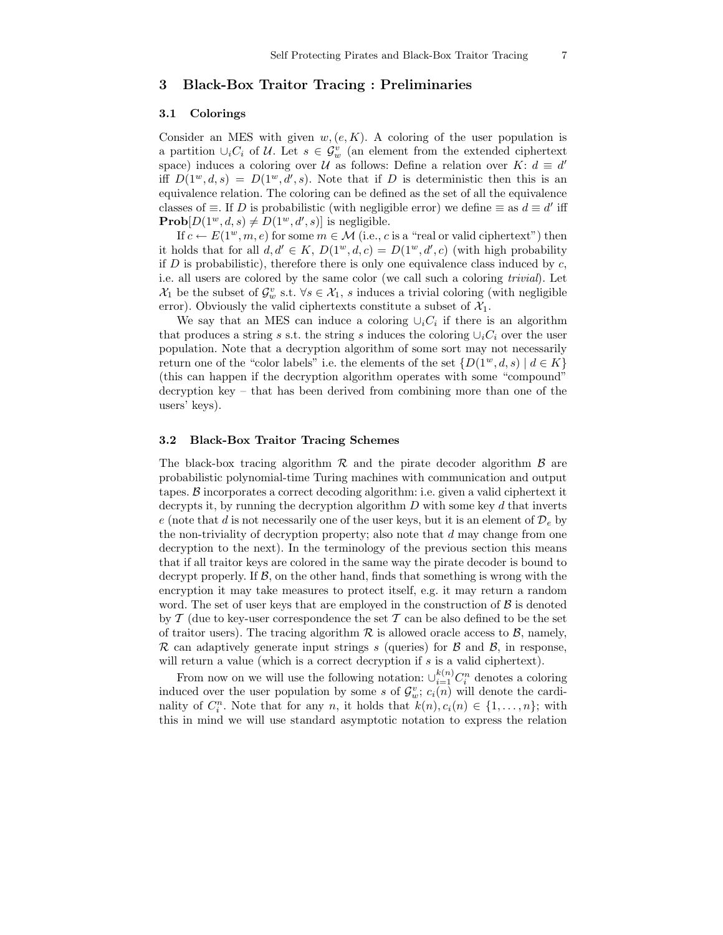# 3 Black-Box Traitor Tracing : Preliminaries

## 3.1 Colorings

Consider an MES with given  $w,(e,K)$ . A coloring of the user population is a partition  $\cup_i C_i$  of U. Let  $s \in \mathcal{G}_w^v$  (an element from the extended ciphertext space) induces a coloring over U as follows: Define a relation over K:  $d \equiv d'$ iff  $D(1^w, d, s) = D(1^w, d', s)$ . Note that if D is deterministic then this is an equivalence relation. The coloring can be defined as the set of all the equivalence classes of  $\equiv$ . If D is probabilistic (with negligible error) we define  $\equiv$  as  $d \equiv d'$  iff  $\mathbf{Prob}[D(1^w, d, s) \neq D(1^w, d', s)]$  is negligible.

If  $c \leftarrow E(1^w, m, e)$  for some  $m \in \mathcal{M}$  (i.e., c is a "real or valid ciphertext") then it holds that for all  $d, d' \in K$ ,  $D(1^w, d, c) = D(1^w, d', c)$  (with high probability if D is probabilistic), therefore there is only one equivalence class induced by  $c$ , i.e. all users are colored by the same color (we call such a coloring trivial). Let  $\mathcal{X}_1$  be the subset of  $\mathcal{G}_w^v$  s.t.  $\forall s \in \mathcal{X}_1$ , s induces a trivial coloring (with negligible error). Obviously the valid ciphertexts constitute a subset of  $\mathcal{X}_1$ .

We say that an MES can induce a coloring  $\cup_i C_i$  if there is an algorithm that produces a string s s.t. the string s induces the coloring  $\cup_i C_i$  over the user population. Note that a decryption algorithm of some sort may not necessarily return one of the "color labels" i.e. the elements of the set  $\{D(1^w, d, s) \mid d \in K\}$ (this can happen if the decryption algorithm operates with some "compound" decryption key – that has been derived from combining more than one of the users' keys).

## 3.2 Black-Box Traitor Tracing Schemes

The black-box tracing algorithm  $\mathcal R$  and the pirate decoder algorithm  $\mathcal B$  are probabilistic polynomial-time Turing machines with communication and output tapes. B incorporates a correct decoding algorithm: i.e. given a valid ciphertext it decrypts it, by running the decryption algorithm  $D$  with some key  $d$  that inverts e (note that d is not necessarily one of the user keys, but it is an element of  $\mathcal{D}_e$  by the non-triviality of decryption property; also note that  $d$  may change from one decryption to the next). In the terminology of the previous section this means that if all traitor keys are colored in the same way the pirate decoder is bound to decrypt properly. If  $\mathcal{B}$ , on the other hand, finds that something is wrong with the encryption it may take measures to protect itself, e.g. it may return a random word. The set of user keys that are employed in the construction of  $\beta$  is denoted by  $\mathcal T$  (due to key-user correspondence the set  $\mathcal T$  can be also defined to be the set of traitor users). The tracing algorithm  $\mathcal R$  is allowed oracle access to  $\mathcal B$ , namely, R can adaptively generate input strings s (queries) for  $\beta$  and  $\beta$ , in response, will return a value (which is a correct decryption if s is a valid ciphertext).

From now on we will use the following notation:  $\cup_{i=1}^{k(n)} C_i^n$  denotes a coloring induced over the user population by some s of  $\mathcal{G}_w^v$ ;  $c_i(n)$  will denote the cardinality of  $C_i^n$ . Note that for any n, it holds that  $k(n), c_i(n) \in \{1, ..., n\}$ ; with this in mind we will use standard asymptotic notation to express the relation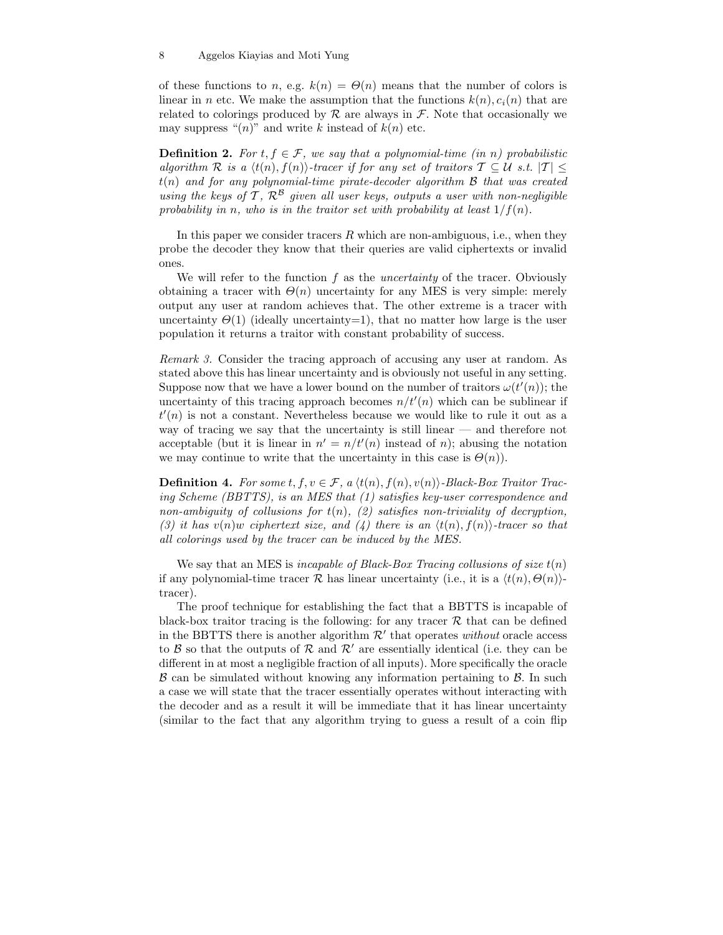of these functions to n, e.g.  $k(n) = \Theta(n)$  means that the number of colors is linear in n etc. We make the assumption that the functions  $k(n), c_i(n)$  that are related to colorings produced by  $\mathcal R$  are always in  $\mathcal F$ . Note that occasionally we may suppress " $(n)$ " and write k instead of  $k(n)$  etc.

**Definition 2.** For  $t, f \in \mathcal{F}$ , we say that a polynomial-time (in n) probabilistic algorithm R is a  $\langle t(n), f(n) \rangle$ -tracer if for any set of traitors  $\mathcal{T} \subseteq \mathcal{U}$  s.t.  $|\mathcal{T}| \leq$  $t(n)$  and for any polynomial-time pirate-decoder algorithm  $\beta$  that was created using the keys of T,  $\mathcal{R}^{\mathcal{B}}$  given all user keys, outputs a user with non-negligible probability in n, who is in the traitor set with probability at least  $1/f(n)$ .

In this paper we consider tracers  $R$  which are non-ambiguous, i.e., when they probe the decoder they know that their queries are valid ciphertexts or invalid ones.

We will refer to the function  $f$  as the *uncertainty* of the tracer. Obviously obtaining a tracer with  $\Theta(n)$  uncertainty for any MES is very simple: merely output any user at random achieves that. The other extreme is a tracer with uncertainty  $\Theta(1)$  (ideally uncertainty=1), that no matter how large is the user population it returns a traitor with constant probability of success.

Remark 3. Consider the tracing approach of accusing any user at random. As stated above this has linear uncertainty and is obviously not useful in any setting. Suppose now that we have a lower bound on the number of traitors  $\omega(t'(n))$ ; the uncertainty of this tracing approach becomes  $n/t'(n)$  which can be sublinear if  $t'(n)$  is not a constant. Nevertheless because we would like to rule it out as a way of tracing we say that the uncertainty is still linear — and therefore not acceptable (but it is linear in  $n' = n/t'(n)$  instead of n); abusing the notation we may continue to write that the uncertainty in this case is  $\Theta(n)$ .

**Definition 4.** For some  $t, f, v \in \mathcal{F}$ , a  $\langle t(n), f(n), v(n) \rangle$ -Black-Box Traitor Tracing Scheme (BBTTS), is an MES that (1) satisfies key-user correspondence and non-ambiguity of collusions for  $t(n)$ , (2) satisfies non-triviality of decryption, (3) it has  $v(n)w$  ciphertext size, and (4) there is an  $\langle t(n), f(n) \rangle$ -tracer so that all colorings used by the tracer can be induced by the MES.

We say that an MES is *incapable of Black-Box Tracing collusions of size*  $t(n)$ if any polynomial-time tracer  $\mathcal R$  has linear uncertainty (i.e., it is a  $\langle t(n), \Theta(n) \rangle$ tracer).

The proof technique for establishing the fact that a BBTTS is incapable of black-box traitor tracing is the following: for any tracer  $R$  that can be defined in the BBTTS there is another algorithm  $\mathcal{R}'$  that operates without oracle access to  $\beta$  so that the outputs of  $\beta$  and  $\beta'$  are essentially identical (i.e. they can be different in at most a negligible fraction of all inputs). More specifically the oracle  $\beta$  can be simulated without knowing any information pertaining to  $\beta$ . In such a case we will state that the tracer essentially operates without interacting with the decoder and as a result it will be immediate that it has linear uncertainty (similar to the fact that any algorithm trying to guess a result of a coin flip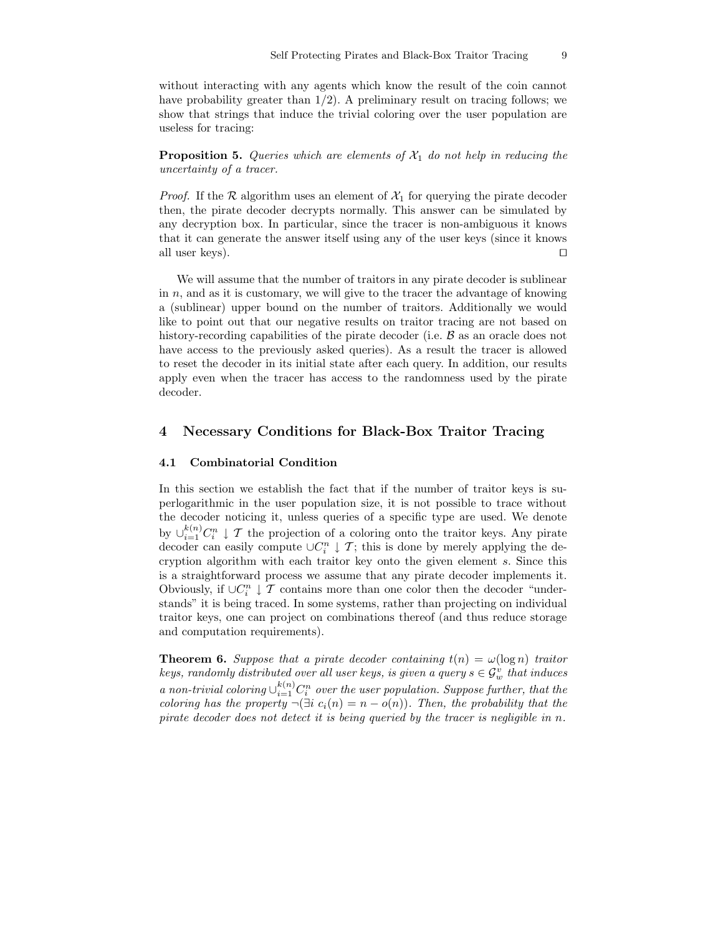without interacting with any agents which know the result of the coin cannot have probability greater than  $1/2$ ). A preliminary result on tracing follows; we show that strings that induce the trivial coloring over the user population are useless for tracing:

**Proposition 5.** Queries which are elements of  $\mathcal{X}_1$  do not help in reducing the uncertainty of a tracer.

*Proof.* If the R algorithm uses an element of  $\mathcal{X}_1$  for querying the pirate decoder then, the pirate decoder decrypts normally. This answer can be simulated by any decryption box. In particular, since the tracer is non-ambiguous it knows that it can generate the answer itself using any of the user keys (since it knows all user keys).  $\Box$ 

We will assume that the number of traitors in any pirate decoder is sublinear in  $n$ , and as it is customary, we will give to the tracer the advantage of knowing a (sublinear) upper bound on the number of traitors. Additionally we would like to point out that our negative results on traitor tracing are not based on history-recording capabilities of the pirate decoder (i.e.  $\beta$  as an oracle does not have access to the previously asked queries). As a result the tracer is allowed to reset the decoder in its initial state after each query. In addition, our results apply even when the tracer has access to the randomness used by the pirate decoder.

# 4 Necessary Conditions for Black-Box Traitor Tracing

## 4.1 Combinatorial Condition

In this section we establish the fact that if the number of traitor keys is superlogarithmic in the user population size, it is not possible to trace without the decoder noticing it, unless queries of a specific type are used. We denote by  $\cup_{i=1}^{k(n)} C_i^n \downarrow \mathcal{T}$  the projection of a coloring onto the traitor keys. Any pirate decoder can easily compute  $\cup C_i^n \downarrow \mathcal{T}$ ; this is done by merely applying the decryption algorithm with each traitor key onto the given element s. Since this is a straightforward process we assume that any pirate decoder implements it. Obviously, if  $\cup C_i^n \downarrow \mathcal T$  contains more than one color then the decoder "understands" it is being traced. In some systems, rather than projecting on individual traitor keys, one can project on combinations thereof (and thus reduce storage and computation requirements).

**Theorem 6.** Suppose that a pirate decoder containing  $t(n) = \omega(\log n)$  traitor keys, randomly distributed over all user keys, is given a query  $s \in \mathcal{G}_w^v$  that induces a non-trivial coloring  $\cup_{i=1}^{k(n)} C_i^n$  over the user population. Suppose further, that the coloring has the property  $\neg(\exists i \ c_i(n) = n - o(n))$ . Then, the probability that the pirate decoder does not detect it is being queried by the tracer is negligible in n.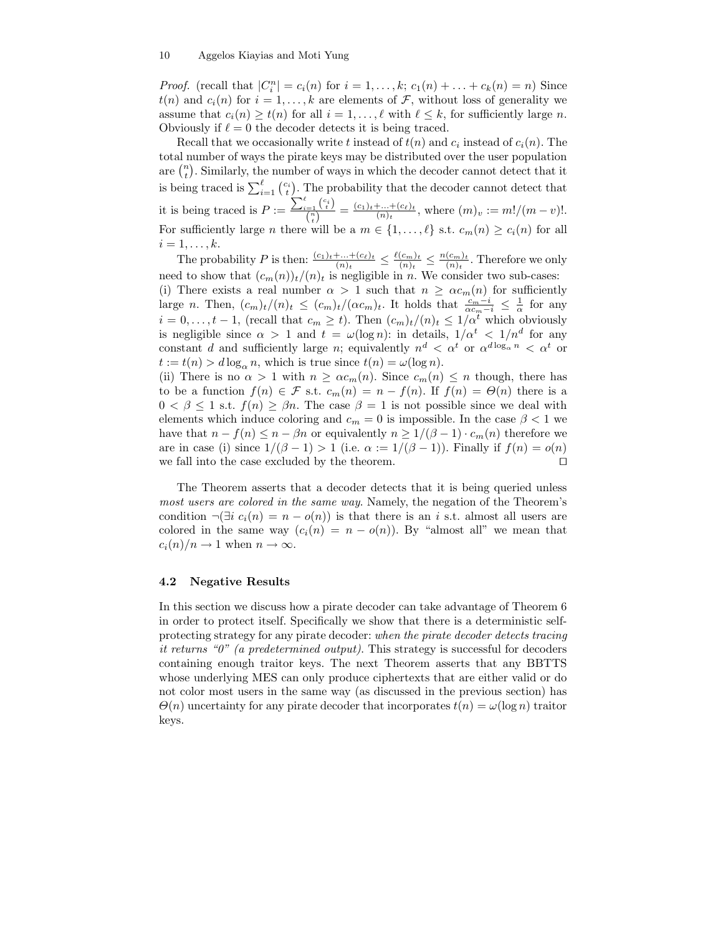*Proof.* (recall that  $|C_i^n| = c_i(n)$  for  $i = 1, ..., k$ ;  $c_1(n) + ... + c_k(n) = n$ ) Since  $t(n)$  and  $c_i(n)$  for  $i = 1, ..., k$  are elements of  $\mathcal{F}$ , without loss of generality we assume that  $c_i(n) \geq t(n)$  for all  $i = 1, ..., \ell$  with  $\ell \leq k$ , for sufficiently large n. Obviously if  $\ell = 0$  the decoder detects it is being traced.

Recall that we occasionally write t instead of  $t(n)$  and  $c_i$  instead of  $c_i(n)$ . The total number of ways the pirate keys may be distributed over the user population are  $\binom{n}{t}$ . Similarly, the number of ways in which the decoder cannot detect that it is being traced is  $\sum_{i=1}^{\ell} {c_i \choose t}$ . The probability that the decoder cannot detect that it is being traced is  $P := \frac{\sum_{i=1}^{\ell} {c_i \choose t}}{\binom{n}{n}}$  $\frac{a}{\binom{n}{t}} = \frac{(c_1)_t + ... + (c_\ell)_t}{(n)_t}$  $\frac{+\ldots+({c_\ell})_t}{(n)_t}$ , where  $(m)_v := m!/(m-v)!$ . For sufficiently large n there will be a  $m \in \{1, \ldots, \ell\}$  s.t.  $c_m(n) > c_i(n)$  for all  $i=1,\ldots,k.$ 

The probability P is then:  $\frac{(c_1)_t + ... + (c_\ell)_t}{(n)_t} \leq \frac{\ell(c_m)_t}{(n)_t}$  $\frac{(c_m)_t}{(n)_t} \leq \frac{n(c_m)_t}{(n)_t}$  $\frac{(c_m)_t}{(n)_t}$ . Therefore we only need to show that  $(c_m(n))_t/(n)_t$  is negligible in n. We consider two sub-cases: (i) There exists a real number  $\alpha > 1$  such that  $n \geq \alpha c_m(n)$  for sufficiently large n. Then,  $(c_m)_t/(n)_t \le (c_m)_t/( \alpha c_m)_t$ . It holds that  $\frac{c_m-i}{\alpha c_m-i} \le \frac{1}{\alpha}$  for any  $i = 0, \ldots, t-1$ , (recall that  $c_m \geq t$ ). Then  $(c_m)_t/(n)_t \leq 1/\alpha^t$  which obviously is negligible since  $\alpha > 1$  and  $t = \omega(\log n)$ : in details,  $1/\alpha^t < 1/n^d$  for any constant d and sufficiently large n; equivalently  $n^d < \alpha^t$  or  $\alpha^{d \log_{\alpha} n} < \alpha^t$  or  $t := t(n) > d \log_{\alpha} n$ , which is true since  $t(n) = \omega(\log n)$ .

(ii) There is no  $\alpha > 1$  with  $n \geq \alpha c_m(n)$ . Since  $c_m(n) \leq n$  though, there has to be a function  $f(n) \in \mathcal{F}$  s.t.  $c_m(n) = n - f(n)$ . If  $f(n) = \Theta(n)$  there is a  $0 < \beta \leq 1$  s.t.  $f(n) \geq \beta n$ . The case  $\beta = 1$  is not possible since we deal with elements which induce coloring and  $c_m = 0$  is impossible. In the case  $\beta < 1$  we have that  $n - f(n) \leq n - \beta n$  or equivalently  $n \geq 1/(\beta - 1) \cdot c_m(n)$  therefore we are in case (i) since  $1/(\beta - 1) > 1$  (i.e.  $\alpha := 1/(\beta - 1)$ ). Finally if  $f(n) = o(n)$ we fall into the case excluded by the theorem.  $\Box$ 

The Theorem asserts that a decoder detects that it is being queried unless most users are colored in the same way. Namely, the negation of the Theorem's condition  $\neg(\exists i \ c_i(n) = n - o(n))$  is that there is an i s.t. almost all users are colored in the same way  $(c_i(n) = n - o(n))$ . By "almost all" we mean that  $c_i(n)/n \to 1$  when  $n \to \infty$ .

## 4.2 Negative Results

In this section we discuss how a pirate decoder can take advantage of Theorem 6 in order to protect itself. Specifically we show that there is a deterministic selfprotecting strategy for any pirate decoder: when the pirate decoder detects tracing it returns "0" (a predetermined output). This strategy is successful for decoders containing enough traitor keys. The next Theorem asserts that any BBTTS whose underlying MES can only produce ciphertexts that are either valid or do not color most users in the same way (as discussed in the previous section) has  $\Theta(n)$  uncertainty for any pirate decoder that incorporates  $t(n) = \omega(\log n)$  traitor keys.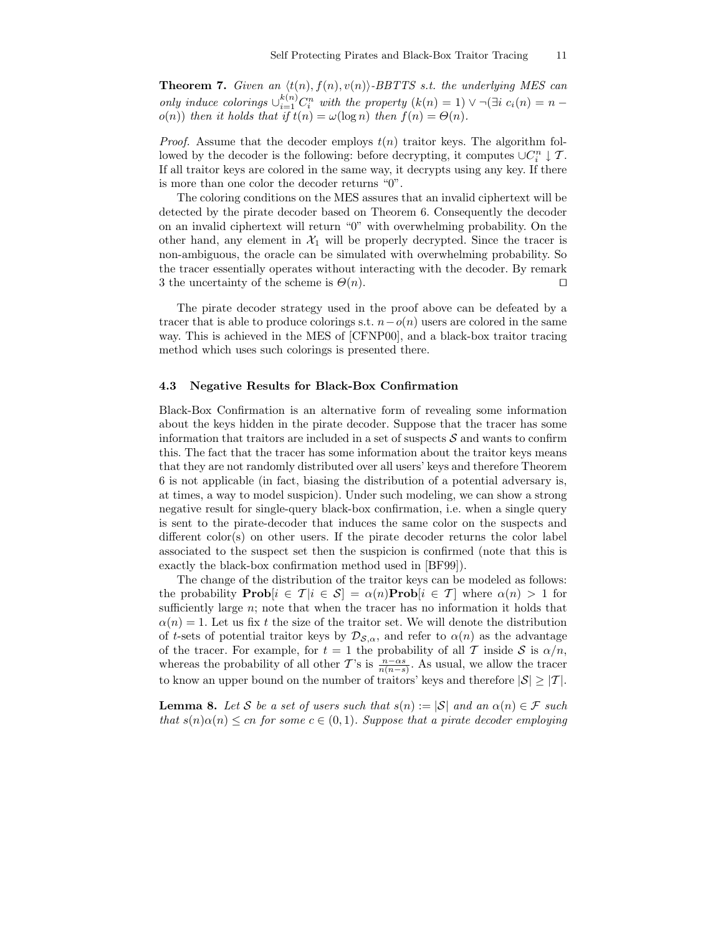**Theorem 7.** Given an  $\langle t(n), f(n), v(n) \rangle$ -BBTTS s.t. the underlying MES can only induce colorings  $\cup_{i=1}^{k(n)} C_i^n$  with the property  $(k(n) = 1) \vee \neg (\exists i \ c_i(n) = n$  $o(n)$ ) then it holds that if  $t(n) = \omega(\log n)$  then  $f(n) = \Theta(n)$ .

*Proof.* Assume that the decoder employs  $t(n)$  traitor keys. The algorithm followed by the decoder is the following: before decrypting, it computes  $\cup C_i^n \downarrow \mathcal{T}$ . If all traitor keys are colored in the same way, it decrypts using any key. If there is more than one color the decoder returns "0".

The coloring conditions on the MES assures that an invalid ciphertext will be detected by the pirate decoder based on Theorem 6. Consequently the decoder on an invalid ciphertext will return "0" with overwhelming probability. On the other hand, any element in  $\mathcal{X}_1$  will be properly decrypted. Since the tracer is non-ambiguous, the oracle can be simulated with overwhelming probability. So the tracer essentially operates without interacting with the decoder. By remark 3 the uncertainty of the scheme is  $\Theta(n)$ .

The pirate decoder strategy used in the proof above can be defeated by a tracer that is able to produce colorings s.t.  $n-o(n)$  users are colored in the same way. This is achieved in the MES of [CFNP00], and a black-box traitor tracing method which uses such colorings is presented there.

#### 4.3 Negative Results for Black-Box Confirmation

Black-Box Confirmation is an alternative form of revealing some information about the keys hidden in the pirate decoder. Suppose that the tracer has some information that traitors are included in a set of suspects  $S$  and wants to confirm this. The fact that the tracer has some information about the traitor keys means that they are not randomly distributed over all users' keys and therefore Theorem 6 is not applicable (in fact, biasing the distribution of a potential adversary is, at times, a way to model suspicion). Under such modeling, we can show a strong negative result for single-query black-box confirmation, i.e. when a single query is sent to the pirate-decoder that induces the same color on the suspects and different color(s) on other users. If the pirate decoder returns the color label associated to the suspect set then the suspicion is confirmed (note that this is exactly the black-box confirmation method used in [BF99]).

The change of the distribution of the traitor keys can be modeled as follows: the probability **Prob** $[i \in \mathcal{T} | i \in \mathcal{S}] = \alpha(n)$ **Prob** $[i \in \mathcal{T}]$  where  $\alpha(n) > 1$  for sufficiently large  $n$ ; note that when the tracer has no information it holds that  $\alpha(n) = 1$ . Let us fix t the size of the traitor set. We will denote the distribution of t-sets of potential traitor keys by  $\mathcal{D}_{\mathcal{S},\alpha}$ , and refer to  $\alpha(n)$  as the advantage of the tracer. For example, for  $t = 1$  the probability of all T inside S is  $\alpha/n$ , whereas the probability of all other T's is  $\frac{n-\alpha s}{n(n-s)}$ . As usual, we allow the tracer to know an upper bound on the number of traitors' keys and therefore  $|S| \geq |T|$ .

**Lemma 8.** Let S be a set of users such that  $s(n) := |\mathcal{S}|$  and an  $\alpha(n) \in \mathcal{F}$  such that  $s(n)\alpha(n) \leq cn$  for some  $c \in (0,1)$ . Suppose that a pirate decoder employing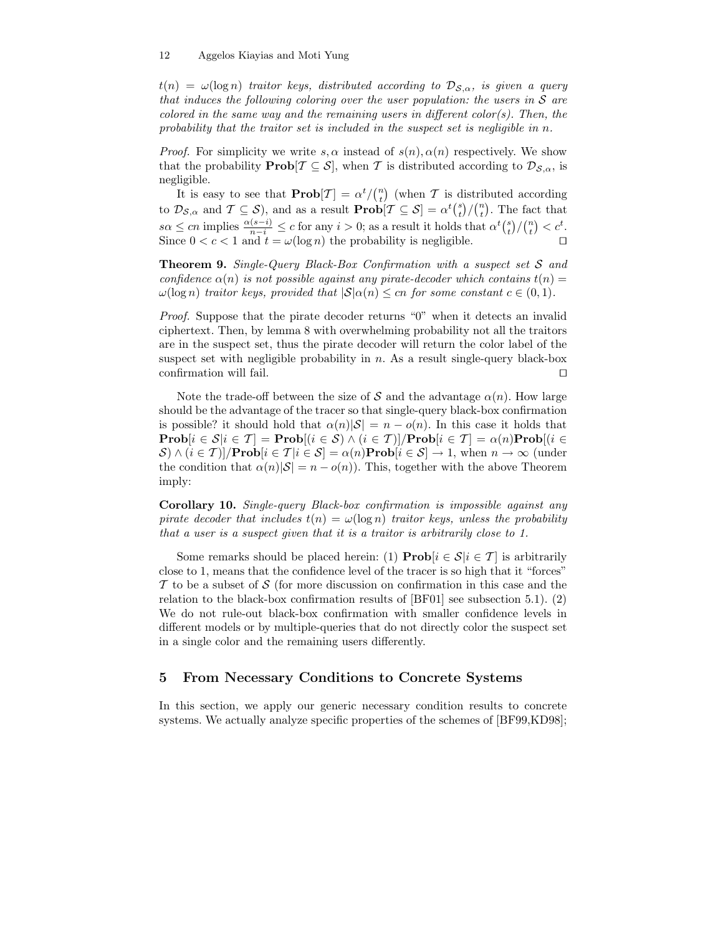$t(n) = \omega(\log n)$  traitor keys, distributed according to  $\mathcal{D}_{\mathcal{S},\alpha}$ , is given a query that induces the following coloring over the user population: the users in  $S$  are colored in the same way and the remaining users in different color(s). Then, the probability that the traitor set is included in the suspect set is negligible in  $n$ .

*Proof.* For simplicity we write s,  $\alpha$  instead of  $s(n)$ ,  $\alpha(n)$  respectively. We show that the probability **Prob** $[\mathcal{T} \subseteq \mathcal{S}]$ , when T is distributed according to  $\mathcal{D}_{\mathcal{S},\alpha}$ , is negligible.

It is easy to see that  $\text{Prob}[T] = \alpha^t / \binom{n}{t}$  (when T is distributed according to  $\mathcal{D}_{\mathcal{S},\alpha}$  and  $\mathcal{T} \subseteq \mathcal{S}$ , and as a result  $\mathbf{Prob}[\mathcal{T} \subseteq \mathcal{S}] = \alpha^t {s \choose t} / {n \choose t}$ . The fact that  $s\alpha \leq cn$  implies  $\frac{\alpha(s-i)}{n-i} \leq c$  for any  $i > 0$ ; as a result it holds that  $\alpha^t {s \choose t}/ {n \choose t} < c^t$ . Since  $0 < c < 1$  and  $t = \omega(\log n)$  the probability is negligible.

Theorem 9. Single-Query Black-Box Confirmation with a suspect set S and confidence  $\alpha(n)$  is not possible against any pirate-decoder which contains  $t(n)$  $\omega(\log n)$  traitor keys, provided that  $|S|\alpha(n) \leq cn$  for some constant  $c \in (0,1)$ .

Proof. Suppose that the pirate decoder returns "0" when it detects an invalid ciphertext. Then, by lemma 8 with overwhelming probability not all the traitors are in the suspect set, thus the pirate decoder will return the color label of the suspect set with negligible probability in  $n$ . As a result single-query black-box confirmation will fail.  $\Box$ 

Note the trade-off between the size of S and the advantage  $\alpha(n)$ . How large should be the advantage of the tracer so that single-query black-box confirmation is possible? it should hold that  $\alpha(n)|S| = n - o(n)$ . In this case it holds that  $\mathbf{Prob}[i \in \mathcal{S} | i \in \mathcal{T}] = \mathbf{Prob}[(i \in \mathcal{S}) \wedge (i \in \mathcal{T})] / \mathbf{Prob}[i \in \mathcal{T}] = \alpha(n) \mathbf{Prob}[i \in \mathcal{T}]$  $S \wedge (i \in \mathcal{T})$ |/**Prob** $[i \in \mathcal{T} | i \in \mathcal{S}] = \alpha(n)$ **Prob** $[i \in \mathcal{S}] \rightarrow 1$ , when  $n \rightarrow \infty$  (under the condition that  $\alpha(n)|S| = n - o(n)$ . This, together with the above Theorem imply:

Corollary 10. Single-query Black-box confirmation is impossible against any pirate decoder that includes  $t(n) = \omega(\log n)$  traitor keys, unless the probability that a user is a suspect given that it is a traitor is arbitrarily close to 1.

Some remarks should be placed herein: (1)  $\mathbf{Prob}[i \in \mathcal{S} | i \in \mathcal{T}]$  is arbitrarily close to 1, means that the confidence level of the tracer is so high that it "forces"  $\mathcal T$  to be a subset of  $\mathcal S$  (for more discussion on confirmation in this case and the relation to the black-box confirmation results of [BF01] see subsection 5.1). (2) We do not rule-out black-box confirmation with smaller confidence levels in different models or by multiple-queries that do not directly color the suspect set in a single color and the remaining users differently.

# 5 From Necessary Conditions to Concrete Systems

In this section, we apply our generic necessary condition results to concrete systems. We actually analyze specific properties of the schemes of [BF99,KD98];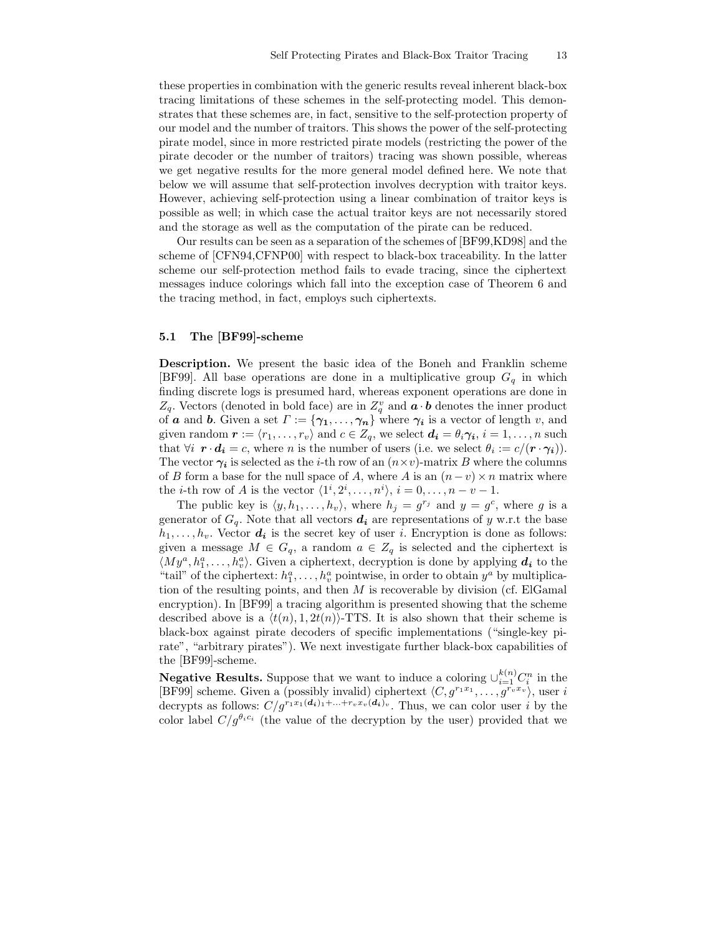these properties in combination with the generic results reveal inherent black-box tracing limitations of these schemes in the self-protecting model. This demonstrates that these schemes are, in fact, sensitive to the self-protection property of our model and the number of traitors. This shows the power of the self-protecting pirate model, since in more restricted pirate models (restricting the power of the pirate decoder or the number of traitors) tracing was shown possible, whereas we get negative results for the more general model defined here. We note that below we will assume that self-protection involves decryption with traitor keys. However, achieving self-protection using a linear combination of traitor keys is possible as well; in which case the actual traitor keys are not necessarily stored and the storage as well as the computation of the pirate can be reduced.

Our results can be seen as a separation of the schemes of [BF99,KD98] and the scheme of [CFN94,CFNP00] with respect to black-box traceability. In the latter scheme our self-protection method fails to evade tracing, since the ciphertext messages induce colorings which fall into the exception case of Theorem 6 and the tracing method, in fact, employs such ciphertexts.

## 5.1 The [BF99]-scheme

Description. We present the basic idea of the Boneh and Franklin scheme [BF99]. All base operations are done in a multiplicative group  $G_q$  in which finding discrete logs is presumed hard, whereas exponent operations are done in  $Z_q$ . Vectors (denoted in bold face) are in  $Z_q^v$  and  $\boldsymbol{a} \cdot \boldsymbol{b}$  denotes the inner product of **a** and **b**. Given a set  $\Gamma := {\gamma_1, \ldots, \gamma_n}$  where  $\gamma_i$  is a vector of length v, and given random  $\mathbf{r} := \langle r_1, \ldots, r_v \rangle$  and  $c \in Z_q$ , we select  $\mathbf{d_i} = \theta_i \gamma_i$ ,  $i = 1, \ldots, n$  such that  $\forall i \ \mathbf{r} \cdot \mathbf{d_i} = c$ , where *n* is the number of users (i.e. we select  $\theta_i := c/(\mathbf{r} \cdot \gamma_i)$ ). The vector  $\gamma_i$  is selected as the *i*-th row of an  $(n \times v)$ -matrix B where the columns of B form a base for the null space of A, where A is an  $(n-v) \times n$  matrix where the *i*-th row of *A* is the vector  $\langle 1^i, 2^i, \ldots, n^i \rangle$ ,  $i = 0, \ldots, n - v - 1$ .

The public key is  $\langle y, h_1, \ldots, h_v \rangle$ , where  $h_j = g^{r_j}$  and  $y = g^c$ , where g is a generator of  $G_q$ . Note that all vectors  $d_i$  are representations of y w.r.t the base  $h_1, \ldots, h_v$ . Vector  $d_i$  is the secret key of user i. Encryption is done as follows: given a message  $M \in G_q$ , a random  $a \in Z_q$  is selected and the ciphertext is  $\langle My^a, h_1^a, \ldots, h_v^a \rangle$ . Given a ciphertext, decryption is done by applying  $d_i$  to the "tail" of the ciphertext:  $h_1^a, \ldots, h_v^a$  pointwise, in order to obtain  $y^a$  by multiplication of the resulting points, and then  $M$  is recoverable by division (cf. ElGamal encryption). In [BF99] a tracing algorithm is presented showing that the scheme described above is a  $\langle t(n), 1, 2t(n)\rangle$ -TTS. It is also shown that their scheme is black-box against pirate decoders of specific implementations ("single-key pirate", "arbitrary pirates"). We next investigate further black-box capabilities of the [BF99]-scheme.

**Negative Results.** Suppose that we want to induce a coloring  $\cup_{i=1}^{k(n)} C_i^n$  in the [BF99] scheme. Given a (possibly invalid) ciphertext  $\langle C, g^{r_1x_1}, \ldots, g^{r_vx_v} \rangle$ , user i decrypts as follows:  $C/g^{r_1x_1(d_i)_1+\ldots+r_vx_v(d_i)_v}$ . Thus, we can color user i by the color label  $C/q^{\theta_i c_i}$  (the value of the decryption by the user) provided that we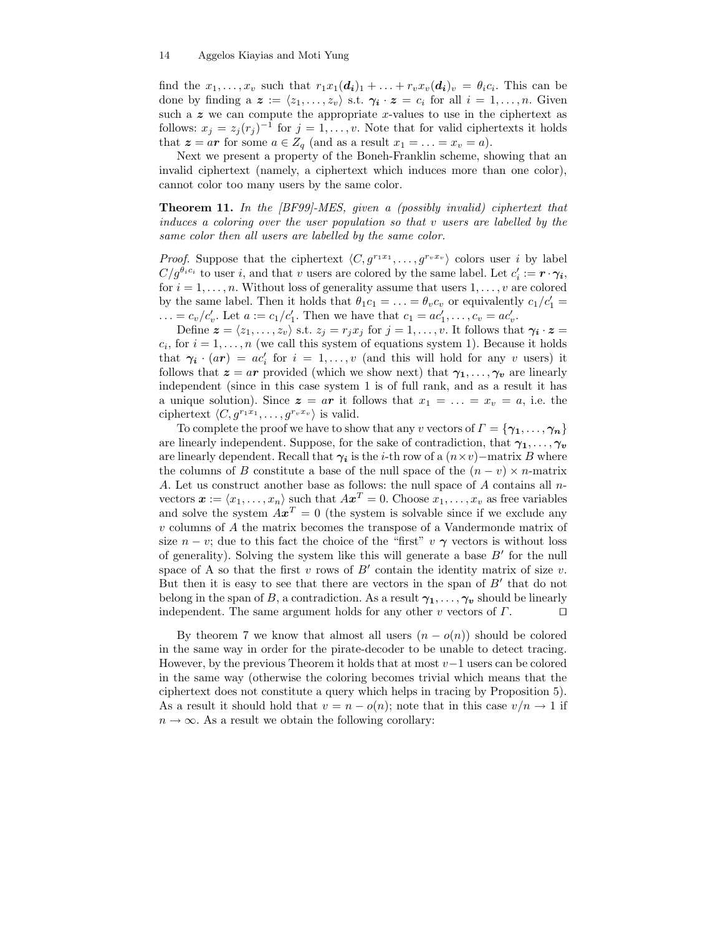find the  $x_1, \ldots, x_v$  such that  $r_1x_1(\boldsymbol{d_i})_1 + \ldots + r_vx_v(\boldsymbol{d_i})_v = \theta_i c_i$ . This can be done by finding a  $\boldsymbol{z} := \langle z_1, \ldots, z_v \rangle$  s.t.  $\gamma_i \cdot \boldsymbol{z} = c_i$  for all  $i = 1, \ldots, n$ . Given such a  $z$  we can compute the appropriate x-values to use in the ciphertext as follows:  $x_j = z_j (r_j)^{-1}$  for  $j = 1, ..., v$ . Note that for valid ciphertexts it holds that  $z = ar$  for some  $a \in Z_q$  (and as a result  $x_1 = \ldots = x_v = a$ ).

Next we present a property of the Boneh-Franklin scheme, showing that an invalid ciphertext (namely, a ciphertext which induces more than one color), cannot color too many users by the same color.

Theorem 11. In the [BF99]-MES, given a (possibly invalid) ciphertext that induces a coloring over the user population so that  $v$  users are labelled by the same color then all users are labelled by the same color.

*Proof.* Suppose that the ciphertext  $\langle C, g^{r_1x_1}, \ldots, g^{r_vx_v} \rangle$  colors user i by label  $C/g^{\theta_i c_i}$  to user i, and that v users are colored by the same label. Let  $c'_i := \mathbf{r} \cdot \gamma_i$ , for  $i = 1, \ldots, n$ . Without loss of generality assume that users  $1, \ldots, v$  are colored by the same label. Then it holds that  $\theta_1 c_1 = \ldots = \theta_v c_v$  or equivalently  $c_1/c_1' =$ ... =  $c_v/c'_v$ . Let  $a := c_1/c'_1$ . Then we have that  $c_1 = ac'_1, ..., c_v = ac'_v$ .

Define  $\boldsymbol{z} = \langle z_1, \ldots, z_v \rangle$  s.t.  $z_j = r_j x_j$  for  $j = 1, \ldots, v$ . It follows that  $\gamma_i \cdot \boldsymbol{z} =$  $c_i$ , for  $i = 1, \ldots, n$  (we call this system of equations system 1). Because it holds that  $\gamma_i \cdot (ar) = ac'_i$  for  $i = 1, ..., v$  (and this will hold for any v users) it follows that  $z = ar$  provided (which we show next) that  $\gamma_1, \ldots, \gamma_v$  are linearly independent (since in this case system 1 is of full rank, and as a result it has a unique solution). Since  $z = ar$  it follows that  $x_1 = \ldots = x_v = a$ , i.e. the ciphertext  $\langle C, g^{r_1x_1}, \ldots, g^{r_vx_v} \rangle$  is valid.

To complete the proof we have to show that any v vectors of  $\Gamma = \{ \gamma_1, \ldots, \gamma_n \}$ are linearly independent. Suppose, for the sake of contradiction, that  $\gamma_1, \ldots, \gamma_v$ are linearly dependent. Recall that  $\gamma_i$  is the *i*-th row of a  $(n \times v)$ −matrix B where the columns of B constitute a base of the null space of the  $(n - v) \times n$ -matrix A. Let us construct another base as follows: the null space of A contains all nvectors  $\boldsymbol{x} := \langle x_1, \ldots, x_n \rangle$  such that  $A\boldsymbol{x}^T = 0$ . Choose  $x_1, \ldots, x_v$  as free variables and solve the system  $Ax^T = 0$  (the system is solvable since if we exclude any v columns of A the matrix becomes the transpose of a Vandermonde matrix of size  $n - v$ ; due to this fact the choice of the "first" v  $\gamma$  vectors is without loss of generality). Solving the system like this will generate a base  $B'$  for the null space of A so that the first  $v$  rows of  $B'$  contain the identity matrix of size  $v$ . But then it is easy to see that there are vectors in the span of  $B'$  that do not belong in the span of B, a contradiction. As a result  $\gamma_1, \ldots, \gamma_v$  should be linearly independent. The same argument holds for any other v vectors of  $\Gamma$ .

By theorem 7 we know that almost all users  $(n - o(n))$  should be colored in the same way in order for the pirate-decoder to be unable to detect tracing. However, by the previous Theorem it holds that at most  $v-1$  users can be colored in the same way (otherwise the coloring becomes trivial which means that the ciphertext does not constitute a query which helps in tracing by Proposition 5). As a result it should hold that  $v = n - o(n)$ ; note that in this case  $v/n \to 1$  if  $n \to \infty$ . As a result we obtain the following corollary: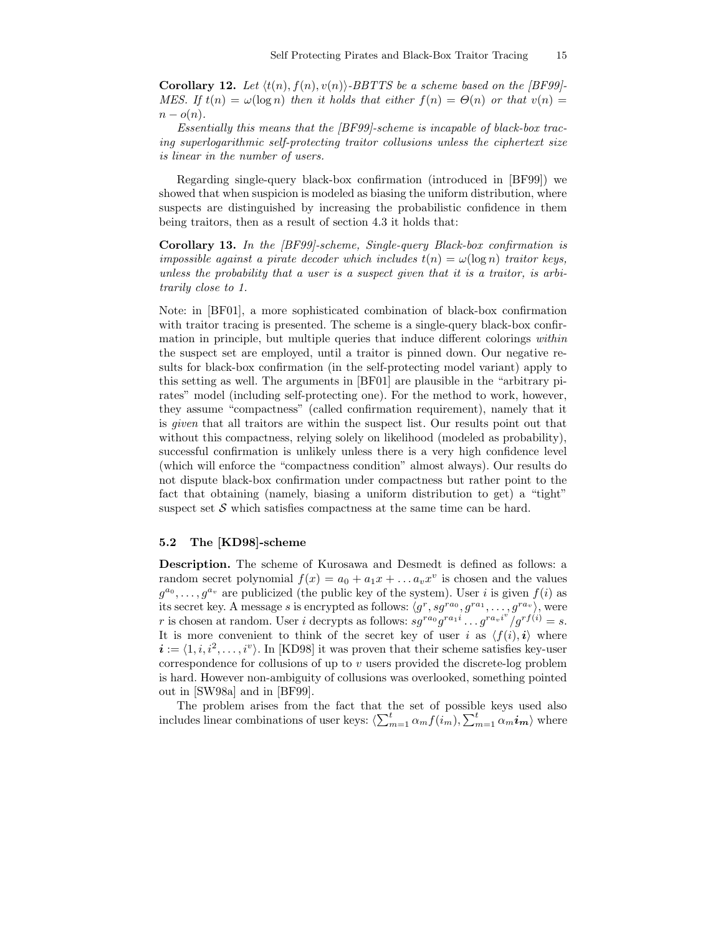**Corollary 12.** Let  $\langle t(n), t(n), v(n) \rangle$ -BBTTS be a scheme based on the [BF99]-MES. If  $t(n) = \omega(\log n)$  then it holds that either  $f(n) = \Theta(n)$  or that  $v(n) =$  $n - o(n)$ .

Essentially this means that the [BF99]-scheme is incapable of black-box tracing superlogarithmic self-protecting traitor collusions unless the ciphertext size is linear in the number of users.

Regarding single-query black-box confirmation (introduced in [BF99]) we showed that when suspicion is modeled as biasing the uniform distribution, where suspects are distinguished by increasing the probabilistic confidence in them being traitors, then as a result of section 4.3 it holds that:

Corollary 13. In the [BF99]-scheme, Single-query Black-box confirmation is impossible against a pirate decoder which includes  $t(n) = \omega(\log n)$  traitor keys, unless the probability that a user is a suspect given that it is a traitor, is arbitrarily close to 1.

Note: in [BF01], a more sophisticated combination of black-box confirmation with traitor tracing is presented. The scheme is a single-query black-box confirmation in principle, but multiple queries that induce different colorings within the suspect set are employed, until a traitor is pinned down. Our negative results for black-box confirmation (in the self-protecting model variant) apply to this setting as well. The arguments in [BF01] are plausible in the "arbitrary pirates" model (including self-protecting one). For the method to work, however, they assume "compactness" (called confirmation requirement), namely that it is given that all traitors are within the suspect list. Our results point out that without this compactness, relying solely on likelihood (modeled as probability), successful confirmation is unlikely unless there is a very high confidence level (which will enforce the "compactness condition" almost always). Our results do not dispute black-box confirmation under compactness but rather point to the fact that obtaining (namely, biasing a uniform distribution to get) a "tight" suspect set  $S$  which satisfies compactness at the same time can be hard.

## 5.2 The [KD98]-scheme

Description. The scheme of Kurosawa and Desmedt is defined as follows: a random secret polynomial  $f(x) = a_0 + a_1x + \dots + a_vx^v$  is chosen and the values  $g^{a_0}, \ldots, g^{a_v}$  are publicized (the public key of the system). User i is given  $f(i)$  as its secret key. A message s is encrypted as follows:  $\langle g^r, sg^{ra_0}, g^{ra_1}, \ldots, g^{ra_v} \rangle$ , were r is chosen at random. User i decrypts as follows:  $sg^{ra_0}g^{ra_1i} \dots g^{ra_vi^v}/gr^{f(i)} = s$ . It is more convenient to think of the secret key of user i as  $\langle f(i), i \rangle$  where  $i := \langle 1, i, i^2, \ldots, i^v \rangle$ . In [KD98] it was proven that their scheme satisfies key-user correspondence for collusions of up to v users provided the discrete-log problem is hard. However non-ambiguity of collusions was overlooked, something pointed out in [SW98a] and in [BF99].

The problem arises from the fact that the set of possible keys used also includes linear combinations of user keys:  $\langle \sum_{m=1}^t \alpha_m f(i_m), \sum_{m=1}^t \alpha_m i_m \rangle$  where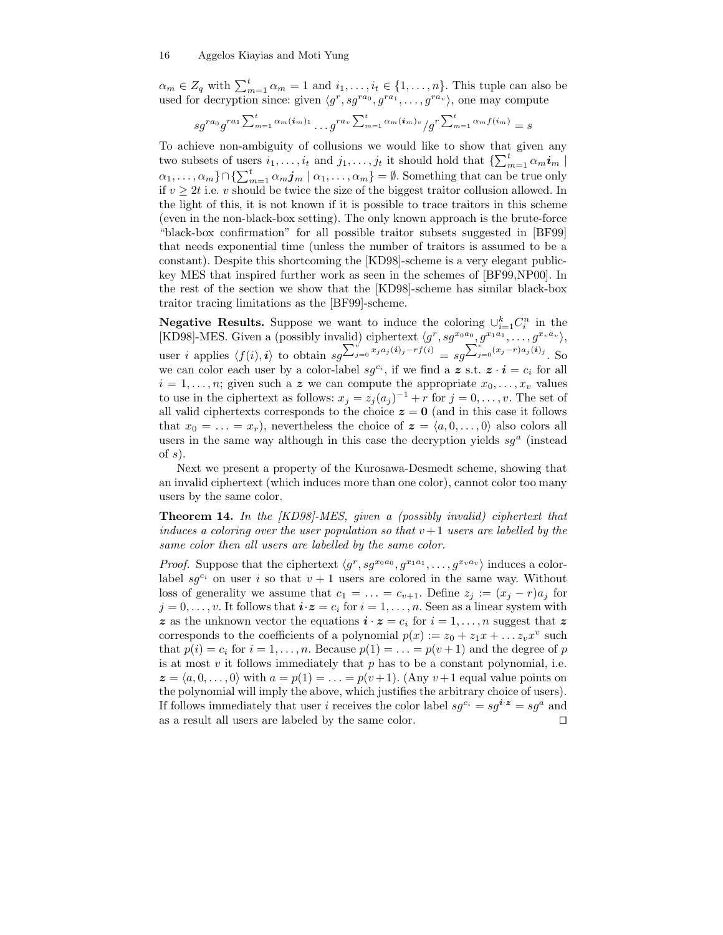$\alpha_m \in Z_q$  with  $\sum_{m=1}^t \alpha_m = 1$  and  $i_1, \ldots, i_t \in \{1, \ldots, n\}$ . This tuple can also be used for decryption since: given  $\langle g^r, sg^{ra_0}, g^{ra_1}, \ldots, g^{ra_v} \rangle$ , one may compute

$$
sg^{ra_0}g^{ra_1\sum_{m=1}^t\alpha_m(i_m)_1}\dots g^{ra_v\sum_{m=1}^t\alpha_m(i_m)_v}/g^{r\sum_{m=1}^t\alpha_m f(i_m)}=s
$$

To achieve non-ambiguity of collusions we would like to show that given any two subsets of users  $i_1, \ldots, i_t$  and  $j_1, \ldots, j_t$  it should hold that  $\{\sum_{m=1}^t \alpha_m i_m\}$  $\{\alpha_1,\ldots,\alpha_m\}\cap\{\sum_{m=1}^t\alpha_m\boldsymbol{j}_m\mid\alpha_1,\ldots,\alpha_m\}=\emptyset.$  Something that can be true only if  $v \geq 2t$  i.e. v should be twice the size of the biggest traitor collusion allowed. In the light of this, it is not known if it is possible to trace traitors in this scheme (even in the non-black-box setting). The only known approach is the brute-force "black-box confirmation" for all possible traitor subsets suggested in [BF99] that needs exponential time (unless the number of traitors is assumed to be a constant). Despite this shortcoming the [KD98]-scheme is a very elegant publickey MES that inspired further work as seen in the schemes of [BF99,NP00]. In the rest of the section we show that the [KD98]-scheme has similar black-box traitor tracing limitations as the [BF99]-scheme.

**Negative Results.** Suppose we want to induce the coloring  $\cup_{i=1}^{k} C_i^n$  in the [KD98]-MES. Given a (possibly invalid) ciphertext  $\langle g^r, sg^{x_0a_0}, g^{x_1a_1}, \ldots, g^{x_va_v} \rangle$ , user *i* applies  $\langle f(i), i \rangle$  to obtain  $sg^{\sum_{j=0}^{i} x_j a_j(i)_j - rf(i)} = sg^{\sum_{j=0}^{i} (x_j - r) a_j(i)_j}$ . So we can color each user by a color-label  $sg^{c_i}$ , if we find a z s.t.  $z \cdot i = c_i$  for all  $i = 1, \ldots, n$ ; given such a z we can compute the appropriate  $x_0, \ldots, x_v$  values to use in the ciphertext as follows:  $x_j = z_j (a_j)^{-1} + r$  for  $j = 0, \ldots, v$ . The set of all valid ciphertexts corresponds to the choice  $z = 0$  (and in this case it follows that  $x_0 = \ldots = x_r$ , nevertheless the choice of  $\boldsymbol{z} = \langle a, 0, \ldots, 0 \rangle$  also colors all users in the same way although in this case the decryption yields  $sg<sup>a</sup>$  (instead of  $s$ ).

Next we present a property of the Kurosawa-Desmedt scheme, showing that an invalid ciphertext (which induces more than one color), cannot color too many users by the same color.

**Theorem 14.** In the [KD98]-MES, given a (possibly invalid) ciphertext that induces a coloring over the user population so that  $v + 1$  users are labelled by the same color then all users are labelled by the same color.

*Proof.* Suppose that the ciphertext  $\langle g^r, sg^{x_0a_0}, g^{x_1a_1}, \ldots, g^{x_va_v} \rangle$  induces a colorlabel sg<sup>c<sub>i</sub></sup> on user i so that  $v + 1$  users are colored in the same way. Without loss of generality we assume that  $c_1 = \ldots = c_{v+1}$ . Define  $z_j := (x_j - r)a_j$  for  $j = 0, \ldots, v$ . It follows that  $i \cdot z = c_i$  for  $i = 1, \ldots, n$ . Seen as a linear system with z as the unknown vector the equations  $\mathbf{i} \cdot \mathbf{z} = c_i$  for  $i = 1, \ldots, n$  suggest that z corresponds to the coefficients of a polynomial  $p(x) := z_0 + z_1 x + \dots z_v x^v$  such that  $p(i) = c_i$  for  $i = 1, ..., n$ . Because  $p(1) = ... = p(v + 1)$  and the degree of p is at most  $v$  it follows immediately that  $p$  has to be a constant polynomial, i.e.  $z = \langle a, 0, \ldots, 0 \rangle$  with  $a = p(1) = \ldots = p(v + 1)$ . (Any  $v + 1$  equal value points on the polynomial will imply the above, which justifies the arbitrary choice of users). If follows immediately that user i receives the color label  $sg^{c_i} = sg^{i \cdot z} = sg^a$  and as a result all users are labeled by the same color.  $\Box$